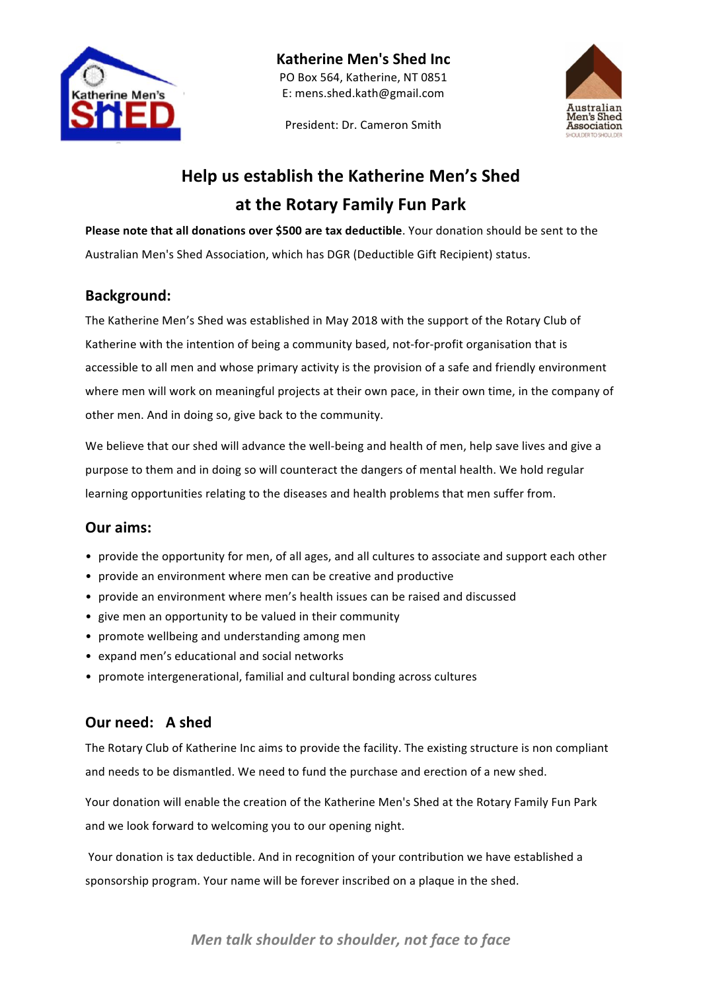

President: Dr. Cameron Smith



## **Help us establish the Katherine Men's Shed at the Rotary Family Fun Park**

**Please note that all donations over \$500 are tax deductible**. Your donation should be sent to the Australian Men's Shed Association, which has DGR (Deductible Gift Recipient) status.

#### **Background:**

The Katherine Men's Shed was established in May 2018 with the support of the Rotary Club of Katherine with the intention of being a community based, not-for-profit organisation that is accessible to all men and whose primary activity is the provision of a safe and friendly environment where men will work on meaningful projects at their own pace, in their own time, in the company of other men. And in doing so, give back to the community.

We believe that our shed will advance the well-being and health of men, help save lives and give a purpose to them and in doing so will counteract the dangers of mental health. We hold regular learning opportunities relating to the diseases and health problems that men suffer from.

#### **Our aims:**

- provide the opportunity for men, of all ages, and all cultures to associate and support each other
- provide an environment where men can be creative and productive
- provide an environment where men's health issues can be raised and discussed
- give men an opportunity to be valued in their community
- promote wellbeing and understanding among men
- expand men's educational and social networks
- promote intergenerational, familial and cultural bonding across cultures

#### **Our need: A shed**

The Rotary Club of Katherine Inc aims to provide the facility. The existing structure is non compliant and needs to be dismantled. We need to fund the purchase and erection of a new shed.

Your donation will enable the creation of the Katherine Men's Shed at the Rotary Family Fun Park and we look forward to welcoming you to our opening night.

Your donation is tax deductible. And in recognition of your contribution we have established a sponsorship program. Your name will be forever inscribed on a plaque in the shed.

### *Men talk shoulder to shoulder, not face to face*